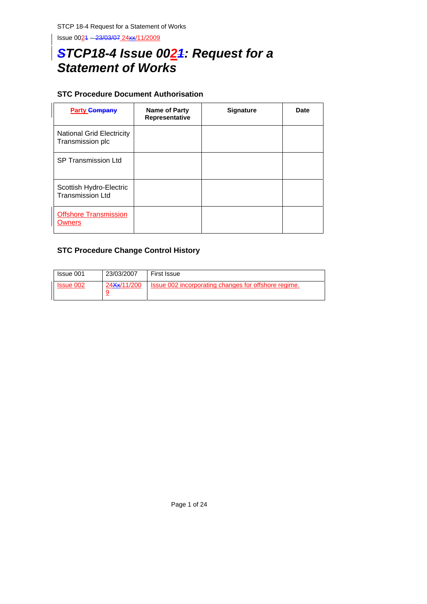Issue 0021 – 23/03/07 24xx/11/2009

# *STCP18-4 Issue 0021: Request for a*  **Statement of Works**

## **STC Procedure Document Authorisation**

| <b>Party Company</b>                                 | Name of Party<br>Representative | <b>Signature</b> | Date |
|------------------------------------------------------|---------------------------------|------------------|------|
| <b>National Grid Electricity</b><br>Transmission plc |                                 |                  |      |
| <b>SP Transmission Ltd</b>                           |                                 |                  |      |
| Scottish Hydro-Electric<br><b>Transmission Ltd</b>   |                                 |                  |      |
| <b>Offshore Transmission</b><br>Owners               |                                 |                  |      |

## **STC Procedure Change Control History**

| Issue 001                 | 23/03/2007               | First Issue                                          |
|---------------------------|--------------------------|------------------------------------------------------|
| <b>Solution</b> Issue 002 | 24 <del>Xx</del> /11/200 | Issue 002 incorporating changes for offshore regime. |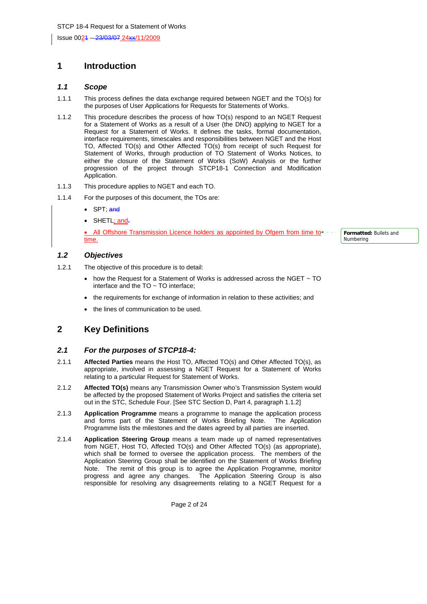Issue 0021 – 23/03/07 24xx/11/2009

## **1 Introduction**

#### *1.1 Scope*

- 1.1.1 This process defines the data exchange required between NGET and the TO(s) for the purposes of User Applications for Requests for Statements of Works.
- 1.1.2 This procedure describes the process of how TO(s) respond to an NGET Request for a Statement of Works as a result of a User (the DNO) applying to NGET for a Request for a Statement of Works. It defines the tasks, formal documentation, interface requirements, timescales and responsibilities between NGET and the Host TO, Affected TO(s) and Other Affected TO(s) from receipt of such Request for Statement of Works, through production of TO Statement of Works Notices, to either the closure of the Statement of Works (SoW) Analysis or the further progression of the project through STCP18-1 Connection and Modification Application.
- 1.1.3 This procedure applies to NGET and each TO.
- 1.1.4 For the purposes of this document, the TOs are:
	- SPT; and
	- SHETL; and.

All Offshore Transmission Licence holders as appointed by Ofgem from time to + - time.

*1.2 Objectives* 

- 1.2.1 The objective of this procedure is to detail:
	- how the Request for a Statement of Works is addressed across the NGET ~ TO interface and the  $TO \sim TO$  interface;
	- the requirements for exchange of information in relation to these activities; and
	- the lines of communication to be used.

## **2 Key Definitions**

#### *2.1 For the purposes of STCP18-4:*

- 2.1.1 **Affected Parties** means the Host TO, Affected TO(s) and Other Affected TO(s), as appropriate, involved in assessing a NGET Request for a Statement of Works relating to a particular Request for Statement of Works.
- 2.1.2 **Affected TO(s)** means any Transmission Owner who's Transmission System would be affected by the proposed Statement of Works Project and satisfies the criteria set out in the STC, Schedule Four. [See STC Section D, Part 4, paragraph 1.1.2]
- 2.1.3 **Application Programme** means a programme to manage the application process and forms part of the Statement of Works Briefing Note. The Application Programme lists the milestones and the dates agreed by all parties are inserted.
- 2.1.4 **Application Steering Group** means a team made up of named representatives from NGET, Host TO, Affected TO(s) and Other Affected TO(s) (as appropriate), which shall be formed to oversee the application process. The members of the Application Steering Group shall be identified on the Statement of Works Briefing Note. The remit of this group is to agree the Application Programme, monitor progress and agree any changes. The Application Steering Group is also responsible for resolving any disagreements relating to a NGET Request for a

Page 2 of 24

**Formatted:** Bullets and Numbering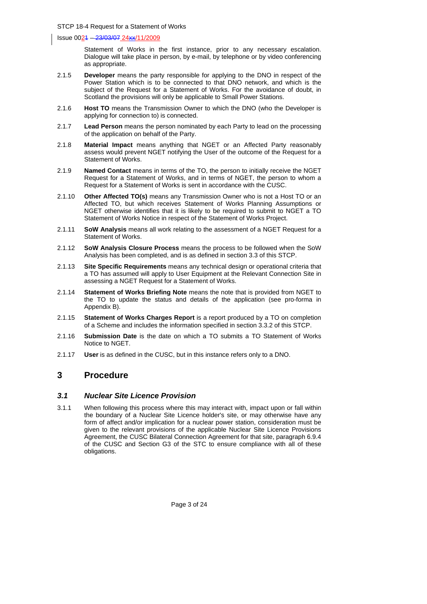Statement of Works in the first instance, prior to any necessary escalation. Dialogue will take place in person, by e-mail, by telephone or by video conferencing as appropriate.

- 2.1.5 **Developer** means the party responsible for applying to the DNO in respect of the Power Station which is to be connected to that DNO network, and which is the subject of the Request for a Statement of Works. For the avoidance of doubt, in Scotland the provisions will only be applicable to Small Power Stations.
- 2.1.6 **Host TO** means the Transmission Owner to which the DNO (who the Developer is applying for connection to) is connected.
- 2.1.7 **Lead Person** means the person nominated by each Party to lead on the processing of the application on behalf of the Party.
- 2.1.8 **Material Impact** means anything that NGET or an Affected Party reasonably assess would prevent NGET notifying the User of the outcome of the Request for a Statement of Works.
- 2.1.9 **Named Contact** means in terms of the TO, the person to initially receive the NGET Request for a Statement of Works, and in terms of NGET, the person to whom a Request for a Statement of Works is sent in accordance with the CUSC.
- 2.1.10 **Other Affected TO(s)** means any Transmission Owner who is not a Host TO or an Affected TO, but which receives Statement of Works Planning Assumptions or NGET otherwise identifies that it is likely to be required to submit to NGET a TO Statement of Works Notice in respect of the Statement of Works Project.
- 2.1.11 **SoW Analysis** means all work relating to the assessment of a NGET Request for a Statement of Works.
- 2.1.12 **SoW Analysis Closure Process** means the process to be followed when the SoW Analysis has been completed, and is as defined in section 3.3 of this STCP.
- 2.1.13 **Site Specific Requirements** means any technical design or operational criteria that a TO has assumed will apply to User Equipment at the Relevant Connection Site in assessing a NGET Request for a Statement of Works.
- 2.1.14 **Statement of Works Briefing Note** means the note that is provided from NGET to the TO to update the status and details of the application (see pro-forma in Appendix B).
- 2.1.15 **Statement of Works Charges Report** is a report produced by a TO on completion of a Scheme and includes the information specified in section 3.3.2 of this STCP.
- 2.1.16 **Submission Date** is the date on which a TO submits a TO Statement of Works Notice to NGET.
- 2.1.17 **User** is as defined in the CUSC, but in this instance refers only to a DNO.

## **3 Procedure**

#### *3.1 Nuclear Site Licence Provision*

3.1.1 When following this process where this may interact with, impact upon or fall within the boundary of a Nuclear Site Licence holder's site, or may otherwise have any form of affect and/or implication for a nuclear power station, consideration must be given to the relevant provisions of the applicable Nuclear Site Licence Provisions Agreement, the CUSC Bilateral Connection Agreement for that site, paragraph 6.9.4 of the CUSC and Section G3 of the STC to ensure compliance with all of these obligations.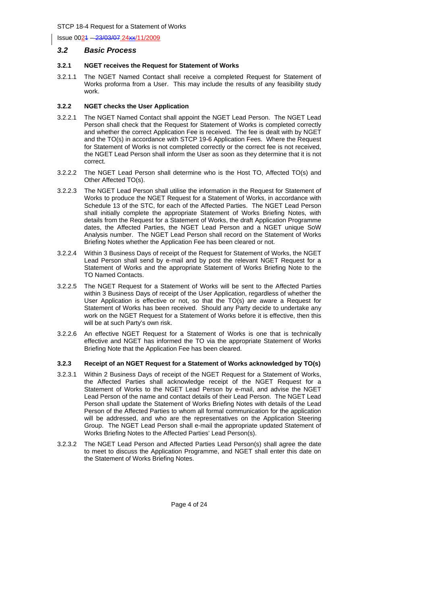#### *3.2 Basic Process*

#### **3.2.1 NGET receives the Request for Statement of Works**

3.2.1.1 The NGET Named Contact shall receive a completed Request for Statement of Works proforma from a User. This may include the results of any feasibility study work.

#### **3.2.2 NGET checks the User Application**

- 3.2.2.1 The NGET Named Contact shall appoint the NGET Lead Person. The NGET Lead Person shall check that the Request for Statement of Works is completed correctly and whether the correct Application Fee is received. The fee is dealt with by NGET and the TO(s) in accordance with STCP 19-6 Application Fees. Where the Request for Statement of Works is not completed correctly or the correct fee is not received, the NGET Lead Person shall inform the User as soon as they determine that it is not correct.
- 3.2.2.2 The NGET Lead Person shall determine who is the Host TO, Affected TO(s) and Other Affected TO(s).
- 3.2.2.3 The NGET Lead Person shall utilise the information in the Request for Statement of Works to produce the NGET Request for a Statement of Works, in accordance with Schedule 13 of the STC, for each of the Affected Parties. The NGET Lead Person shall initially complete the appropriate Statement of Works Briefing Notes, with details from the Request for a Statement of Works, the draft Application Programme dates, the Affected Parties, the NGET Lead Person and a NGET unique SoW Analysis number. The NGET Lead Person shall record on the Statement of Works Briefing Notes whether the Application Fee has been cleared or not.
- 3.2.2.4 Within 3 Business Days of receipt of the Request for Statement of Works, the NGET Lead Person shall send by e-mail and by post the relevant NGET Request for a Statement of Works and the appropriate Statement of Works Briefing Note to the TO Named Contacts.
- 3.2.2.5 The NGET Request for a Statement of Works will be sent to the Affected Parties within 3 Business Days of receipt of the User Application, regardless of whether the User Application is effective or not, so that the TO(s) are aware a Request for Statement of Works has been received. Should any Party decide to undertake any work on the NGET Request for a Statement of Works before it is effective, then this will be at such Party's own risk.
- 3.2.2.6 An effective NGET Request for a Statement of Works is one that is technically effective and NGET has informed the TO via the appropriate Statement of Works Briefing Note that the Application Fee has been cleared.

#### **3.2.3 Receipt of an NGET Request for a Statement of Works acknowledged by TO(s)**

- 3.2.3.1 Within 2 Business Days of receipt of the NGET Request for a Statement of Works, the Affected Parties shall acknowledge receipt of the NGET Request for a Statement of Works to the NGET Lead Person by e-mail, and advise the NGET Lead Person of the name and contact details of their Lead Person. The NGET Lead Person shall update the Statement of Works Briefing Notes with details of the Lead Person of the Affected Parties to whom all formal communication for the application will be addressed, and who are the representatives on the Application Steering Group. The NGET Lead Person shall e-mail the appropriate updated Statement of Works Briefing Notes to the Affected Parties' Lead Person(s).
- 3.2.3.2 The NGET Lead Person and Affected Parties Lead Person(s) shall agree the date to meet to discuss the Application Programme, and NGET shall enter this date on the Statement of Works Briefing Notes.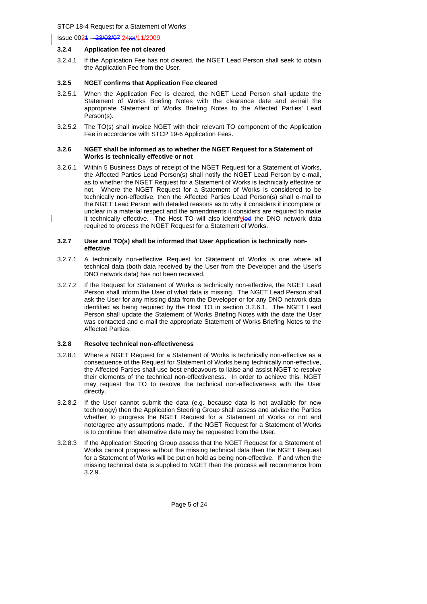Issue 0021 – 23/03/07 24xx/11/2009

#### **3.2.4 Application fee not cleared**

3.2.4.1 If the Application Fee has not cleared, the NGET Lead Person shall seek to obtain the Application Fee from the User.

#### **3.2.5 NGET confirms that Application Fee cleared**

- 3.2.5.1 When the Application Fee is cleared, the NGET Lead Person shall update the Statement of Works Briefing Notes with the clearance date and e-mail the appropriate Statement of Works Briefing Notes to the Affected Parties' Lead Person(s).
- 3.2.5.2 The TO(s) shall invoice NGET with their relevant TO component of the Application Fee in accordance with STCP 19-6 Application Fees.

#### **3.2.6 NGET shall be informed as to whether the NGET Request for a Statement of Works is technically effective or not**

3.2.6.1 Within 5 Business Days of receipt of the NGET Request for a Statement of Works, the Affected Parties Lead Person(s) shall notify the NGET Lead Person by e-mail, as to whether the NGET Request for a Statement of Works is technically effective or not. Where the NGET Request for a Statement of Works is considered to be technically non-effective, then the Affected Parties Lead Person(s) shall e-mail to the NGET Lead Person with detailed reasons as to why it considers it incomplete or unclear in a material respect and the amendments it considers are required to make it technically effective. The Host TO will also identifyied the DNO network data required to process the NGET Request for a Statement of Works.

#### **3.2.7 User and TO(s) shall be informed that User Application is technically noneffective**

- 3.2.7.1 A technically non-effective Request for Statement of Works is one where all technical data (both data received by the User from the Developer and the User's DNO network data) has not been received.
- 3.2.7.2 If the Request for Statement of Works is technically non-effective, the NGET Lead Person shall inform the User of what data is missing. The NGET Lead Person shall ask the User for any missing data from the Developer or for any DNO network data identified as being required by the Host TO in section 3.2.6.1. The NGET Lead Person shall update the Statement of Works Briefing Notes with the date the User was contacted and e-mail the appropriate Statement of Works Briefing Notes to the Affected Parties.

#### **3.2.8 Resolve technical non-effectiveness**

- 3.2.8.1 Where a NGET Request for a Statement of Works is technically non-effective as a consequence of the Request for Statement of Works being technically non-effective, the Affected Parties shall use best endeavours to liaise and assist NGET to resolve their elements of the technical non-effectiveness. In order to achieve this, NGET may request the TO to resolve the technical non-effectiveness with the User directly.
- 3.2.8.2 If the User cannot submit the data (e.g. because data is not available for new technology) then the Application Steering Group shall assess and advise the Parties whether to progress the NGET Request for a Statement of Works or not and note/agree any assumptions made. If the NGET Request for a Statement of Works is to continue then alternative data may be requested from the User.
- 3.2.8.3 If the Application Steering Group assess that the NGET Request for a Statement of Works cannot progress without the missing technical data then the NGET Request for a Statement of Works will be put on hold as being non-effective. If and when the missing technical data is supplied to NGET then the process will recommence from 3.2.9.

Page 5 of 24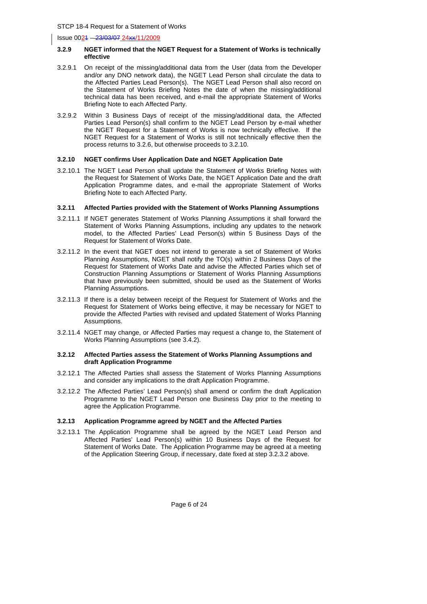#### **3.2.9 NGET informed that the NGET Request for a Statement of Works is technically effective**

- 3.2.9.1 On receipt of the missing/additional data from the User (data from the Developer and/or any DNO network data), the NGET Lead Person shall circulate the data to the Affected Parties Lead Person(s). The NGET Lead Person shall also record on the Statement of Works Briefing Notes the date of when the missing/additional technical data has been received, and e-mail the appropriate Statement of Works Briefing Note to each Affected Party.
- 3.2.9.2 Within 3 Business Days of receipt of the missing/additional data, the Affected Parties Lead Person(s) shall confirm to the NGET Lead Person by e-mail whether the NGET Request for a Statement of Works is now technically effective. If the NGET Request for a Statement of Works is still not technically effective then the process returns to 3.2.6, but otherwise proceeds to 3.2.10.

#### **3.2.10 NGET confirms User Application Date and NGET Application Date**

3.2.10.1 The NGET Lead Person shall update the Statement of Works Briefing Notes with the Request for Statement of Works Date, the NGET Application Date and the draft Application Programme dates, and e-mail the appropriate Statement of Works Briefing Note to each Affected Party.

#### **3.2.11 Affected Parties provided with the Statement of Works Planning Assumptions**

- 3.2.11.1 If NGET generates Statement of Works Planning Assumptions it shall forward the Statement of Works Planning Assumptions, including any updates to the network model, to the Affected Parties' Lead Person(s) within 5 Business Days of the Request for Statement of Works Date.
- 3.2.11.2 In the event that NGET does not intend to generate a set of Statement of Works Planning Assumptions, NGET shall notify the TO(s) within 2 Business Days of the Request for Statement of Works Date and advise the Affected Parties which set of Construction Planning Assumptions or Statement of Works Planning Assumptions that have previously been submitted, should be used as the Statement of Works Planning Assumptions.
- 3.2.11.3 If there is a delay between receipt of the Request for Statement of Works and the Request for Statement of Works being effective, it may be necessary for NGET to provide the Affected Parties with revised and updated Statement of Works Planning Assumptions.
- 3.2.11.4 NGET may change, or Affected Parties may request a change to, the Statement of Works Planning Assumptions (see 3.4.2).

#### **3.2.12 Affected Parties assess the Statement of Works Planning Assumptions and draft Application Programme**

- 3.2.12.1 The Affected Parties shall assess the Statement of Works Planning Assumptions and consider any implications to the draft Application Programme.
- 3.2.12.2 The Affected Parties' Lead Person(s) shall amend or confirm the draft Application Programme to the NGET Lead Person one Business Day prior to the meeting to agree the Application Programme.

#### **3.2.13 Application Programme agreed by NGET and the Affected Parties**

3.2.13.1 The Application Programme shall be agreed by the NGET Lead Person and Affected Parties' Lead Person(s) within 10 Business Days of the Request for Statement of Works Date. The Application Programme may be agreed at a meeting of the Application Steering Group, if necessary, date fixed at step 3.2.3.2 above.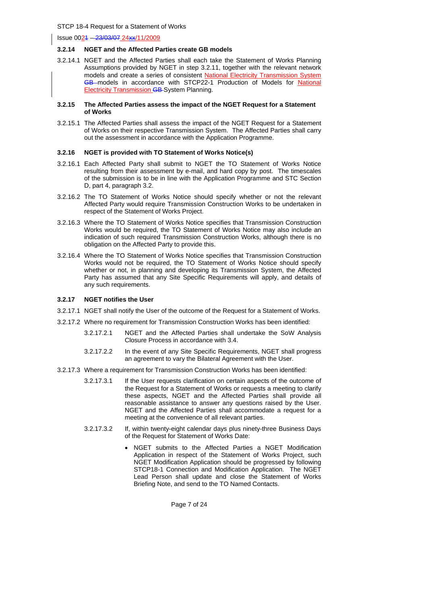#### **3.2.14 NGET and the Affected Parties create GB models**

3.2.14.1 NGET and the Affected Parties shall each take the Statement of Works Planning Assumptions provided by NGET in step 3.2.11, together with the relevant network models and create a series of consistent National Electricity Transmission System GB models in accordance with STCP22-1 Production of Models for National **Electricity Transmission GB-System Planning.** 

#### **3.2.15 The Affected Parties assess the impact of the NGET Request for a Statement of Works**

3.2.15.1 The Affected Parties shall assess the impact of the NGET Request for a Statement of Works on their respective Transmission System. The Affected Parties shall carry out the assessment in accordance with the Application Programme.

#### **3.2.16 NGET is provided with TO Statement of Works Notice(s)**

- 3.2.16.1 Each Affected Party shall submit to NGET the TO Statement of Works Notice resulting from their assessment by e-mail, and hard copy by post. The timescales of the submission is to be in line with the Application Programme and STC Section D, part 4, paragraph 3.2.
- 3.2.16.2 The TO Statement of Works Notice should specify whether or not the relevant Affected Party would require Transmission Construction Works to be undertaken in respect of the Statement of Works Project.
- 3.2.16.3 Where the TO Statement of Works Notice specifies that Transmission Construction Works would be required, the TO Statement of Works Notice may also include an indication of such required Transmission Construction Works, although there is no obligation on the Affected Party to provide this.
- 3.2.16.4 Where the TO Statement of Works Notice specifies that Transmission Construction Works would not be required, the TO Statement of Works Notice should specify whether or not, in planning and developing its Transmission System, the Affected Party has assumed that any Site Specific Requirements will apply, and details of any such requirements.

#### **3.2.17 NGET notifies the User**

- 3.2.17.1 NGET shall notify the User of the outcome of the Request for a Statement of Works.
- 3.2.17.2 Where no requirement for Transmission Construction Works has been identified:
	- 3.2.17.2.1 NGET and the Affected Parties shall undertake the SoW Analysis Closure Process in accordance with 3.4.
	- 3.2.17.2.2 In the event of any Site Specific Requirements, NGET shall progress an agreement to vary the Bilateral Agreement with the User.
- 3.2.17.3 Where a requirement for Transmission Construction Works has been identified:
	- 3.2.17.3.1 If the User requests clarification on certain aspects of the outcome of the Request for a Statement of Works or requests a meeting to clarify these aspects, NGET and the Affected Parties shall provide all reasonable assistance to answer any questions raised by the User. NGET and the Affected Parties shall accommodate a request for a meeting at the convenience of all relevant parties.
	- 3.2.17.3.2 If, within twenty-eight calendar days plus ninety-three Business Days of the Request for Statement of Works Date:
		- NGET submits to the Affected Parties a NGET Modification Application in respect of the Statement of Works Project, such NGET Modification Application should be progressed by following STCP18-1 Connection and Modification Application. The NGET Lead Person shall update and close the Statement of Works Briefing Note, and send to the TO Named Contacts.

Page 7 of 24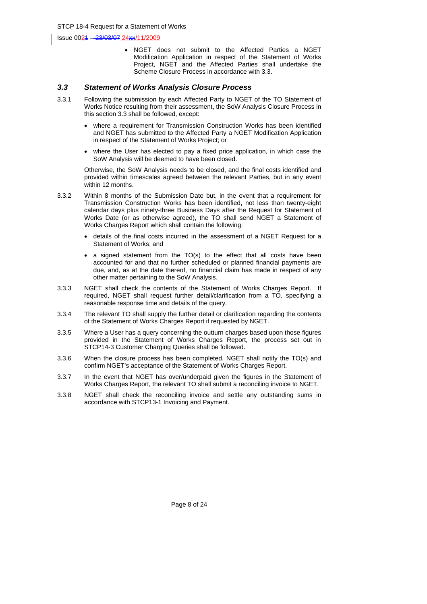• NGET does not submit to the Affected Parties a NGET Modification Application in respect of the Statement of Works Project, NGET and the Affected Parties shall undertake the Scheme Closure Process in accordance with 3.3.

#### *3.3 Statement of Works Analysis Closure Process*

- 3.3.1 Following the submission by each Affected Party to NGET of the TO Statement of Works Notice resulting from their assessment, the SoW Analysis Closure Process in this section 3.3 shall be followed, except:
	- where a requirement for Transmission Construction Works has been identified and NGET has submitted to the Affected Party a NGET Modification Application in respect of the Statement of Works Project; or
	- where the User has elected to pay a fixed price application, in which case the SoW Analysis will be deemed to have been closed.

Otherwise, the SoW Analysis needs to be closed, and the final costs identified and provided within timescales agreed between the relevant Parties, but in any event within 12 months.

- 3.3.2 Within 8 months of the Submission Date but, in the event that a requirement for Transmission Construction Works has been identified, not less than twenty-eight calendar days plus ninety-three Business Days after the Request for Statement of Works Date (or as otherwise agreed), the TO shall send NGET a Statement of Works Charges Report which shall contain the following:
	- details of the final costs incurred in the assessment of a NGET Request for a Statement of Works; and
	- a signed statement from the TO(s) to the effect that all costs have been accounted for and that no further scheduled or planned financial payments are due, and, as at the date thereof, no financial claim has made in respect of any other matter pertaining to the SoW Analysis.
- 3.3.3 NGET shall check the contents of the Statement of Works Charges Report. If required, NGET shall request further detail/clarification from a TO, specifying a reasonable response time and details of the query.
- 3.3.4 The relevant TO shall supply the further detail or clarification regarding the contents of the Statement of Works Charges Report if requested by NGET.
- 3.3.5 Where a User has a query concerning the outturn charges based upon those figures provided in the Statement of Works Charges Report, the process set out in STCP14-3 Customer Charging Queries shall be followed.
- 3.3.6 When the closure process has been completed, NGET shall notify the TO(s) and confirm NGET's acceptance of the Statement of Works Charges Report.
- 3.3.7 In the event that NGET has over/underpaid given the figures in the Statement of Works Charges Report, the relevant TO shall submit a reconciling invoice to NGET.
- 3.3.8 NGET shall check the reconciling invoice and settle any outstanding sums in accordance with STCP13-1 Invoicing and Payment.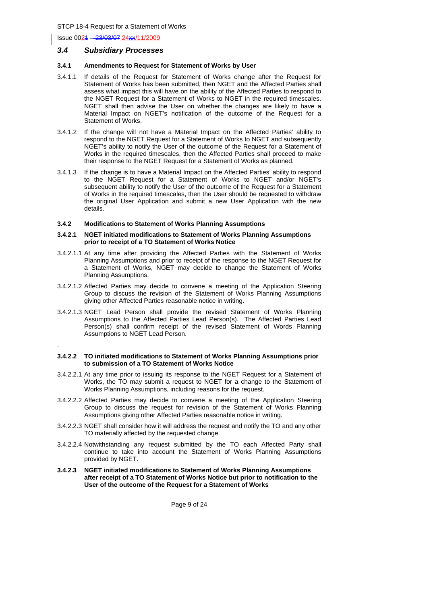Issue 0021 – 23/03/07 24xx/11/2009

.

#### *3.4 Subsidiary Processes*

#### **3.4.1 Amendments to Request for Statement of Works by User**

- 3.4.1.1 If details of the Request for Statement of Works change after the Request for Statement of Works has been submitted, then NGET and the Affected Parties shall assess what impact this will have on the ability of the Affected Parties to respond to the NGET Request for a Statement of Works to NGET in the required timescales. NGET shall then advise the User on whether the changes are likely to have a Material Impact on NGET's notification of the outcome of the Request for a Statement of Works.
- 3.4.1.2 If the change will not have a Material Impact on the Affected Parties' ability to respond to the NGET Request for a Statement of Works to NGET and subsequently NGET's ability to notify the User of the outcome of the Request for a Statement of Works in the required timescales, then the Affected Parties shall proceed to make their response to the NGET Request for a Statement of Works as planned.
- 3.4.1.3 If the change is to have a Material Impact on the Affected Parties' ability to respond to the NGET Request for a Statement of Works to NGET and/or NGET's subsequent ability to notify the User of the outcome of the Request for a Statement of Works in the required timescales, then the User should be requested to withdraw the original User Application and submit a new User Application with the new details.

#### **3.4.2 Modifications to Statement of Works Planning Assumptions**

#### **3.4.2.1 NGET initiated modifications to Statement of Works Planning Assumptions prior to receipt of a TO Statement of Works Notice**

- 3.4.2.1.1 At any time after providing the Affected Parties with the Statement of Works Planning Assumptions and prior to receipt of the response to the NGET Request for a Statement of Works, NGET may decide to change the Statement of Works Planning Assumptions.
- 3.4.2.1.2 Affected Parties may decide to convene a meeting of the Application Steering Group to discuss the revision of the Statement of Works Planning Assumptions giving other Affected Parties reasonable notice in writing.
- 3.4.2.1.3 NGET Lead Person shall provide the revised Statement of Works Planning Assumptions to the Affected Parties Lead Person(s). The Affected Parties Lead Person(s) shall confirm receipt of the revised Statement of Words Planning Assumptions to NGET Lead Person.

#### **3.4.2.2 TO initiated modifications to Statement of Works Planning Assumptions prior to submission of a TO Statement of Works Notice**

- 3.4.2.2.1 At any time prior to issuing its response to the NGET Request for a Statement of Works, the TO may submit a request to NGET for a change to the Statement of Works Planning Assumptions, including reasons for the request.
- 3.4.2.2.2 Affected Parties may decide to convene a meeting of the Application Steering Group to discuss the request for revision of the Statement of Works Planning Assumptions giving other Affected Parties reasonable notice in writing.
- 3.4.2.2.3 NGET shall consider how it will address the request and notify the TO and any other TO materially affected by the requested change.
- 3.4.2.2.4 Notwithstanding any request submitted by the TO each Affected Party shall continue to take into account the Statement of Works Planning Assumptions provided by NGET.
- **3.4.2.3 NGET initiated modifications to Statement of Works Planning Assumptions after receipt of a TO Statement of Works Notice but prior to notification to the User of the outcome of the Request for a Statement of Works**

Page 9 of 24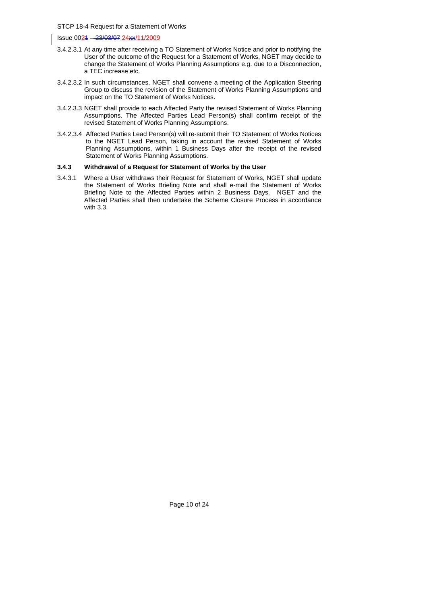Issue 0021 – 23/03/07 24xx/11/2009

- 3.4.2.3.1 At any time after receiving a TO Statement of Works Notice and prior to notifying the User of the outcome of the Request for a Statement of Works, NGET may decide to change the Statement of Works Planning Assumptions e.g. due to a Disconnection, a TEC increase etc.
- 3.4.2.3.2 In such circumstances, NGET shall convene a meeting of the Application Steering Group to discuss the revision of the Statement of Works Planning Assumptions and impact on the TO Statement of Works Notices.
- 3.4.2.3.3 NGET shall provide to each Affected Party the revised Statement of Works Planning Assumptions. The Affected Parties Lead Person(s) shall confirm receipt of the revised Statement of Works Planning Assumptions.
- 3.4.2.3.4 Affected Parties Lead Person(s) will re-submit their TO Statement of Works Notices to the NGET Lead Person, taking in account the revised Statement of Works Planning Assumptions, within 1 Business Days after the receipt of the revised Statement of Works Planning Assumptions.

#### **3.4.3 Withdrawal of a Request for Statement of Works by the User**

3.4.3.1 Where a User withdraws their Request for Statement of Works, NGET shall update the Statement of Works Briefing Note and shall e-mail the Statement of Works Briefing Note to the Affected Parties within 2 Business Days. NGET and the Affected Parties shall then undertake the Scheme Closure Process in accordance with 3.3.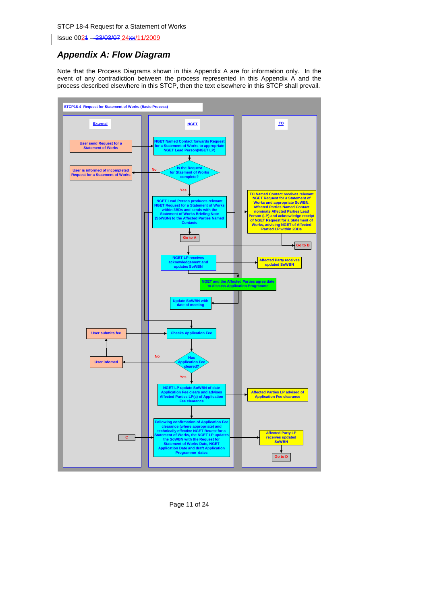Issue 0021 – 23/03/07 24xx/11/2009

## *Appendix A: Flow Diagram*

Note that the Process Diagrams shown in this Appendix A are for information only. In the event of any contradiction between the process represented in this Appendix A and the process described elsewhere in this STCP, then the text elsewhere in this STCP shall prevail.



Page 11 of 24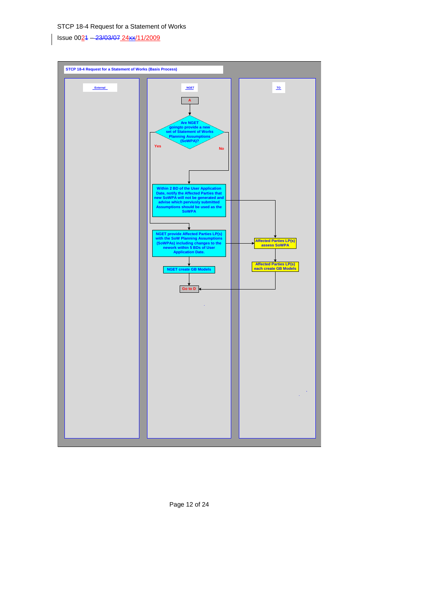Issue 0024 - 23/03/07 24xx/11/2009



Page 12 of 24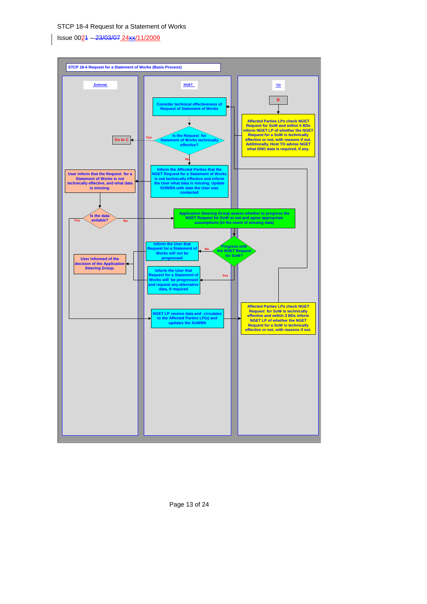Issue 0021 – 23/03/07 24xx/11/2009



Page 13 of 24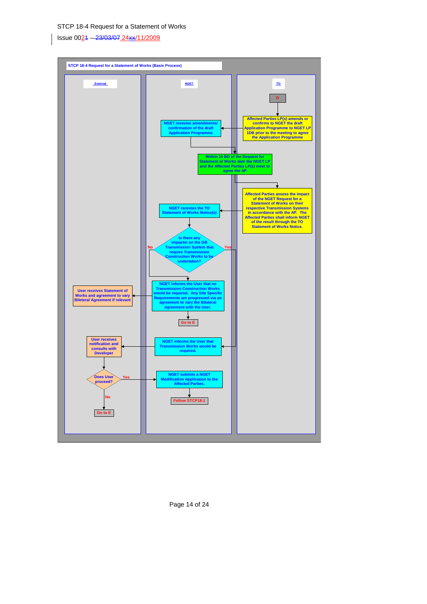Issue 0021 – 23/03/07 24xx/11/2009



Page 14 of 24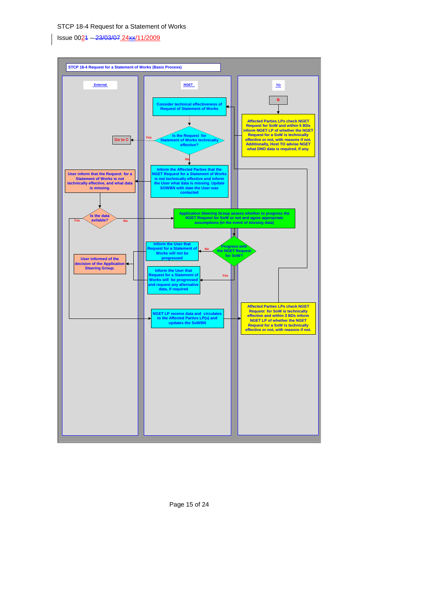Issue 0021 – 23/03/07 24xx/11/2009



Page 15 of 24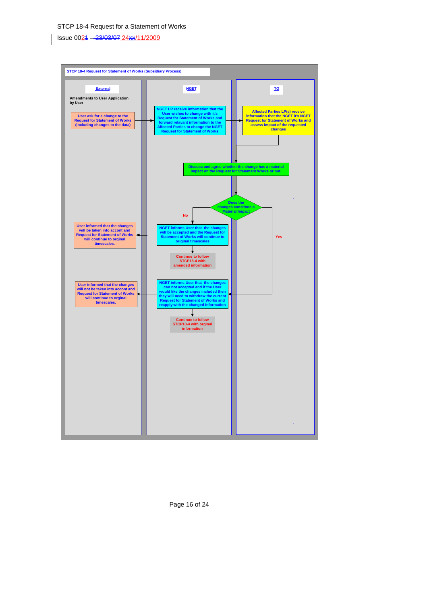Issue 0021 – 23/03/07 24xx/11/2009



Page 16 of 24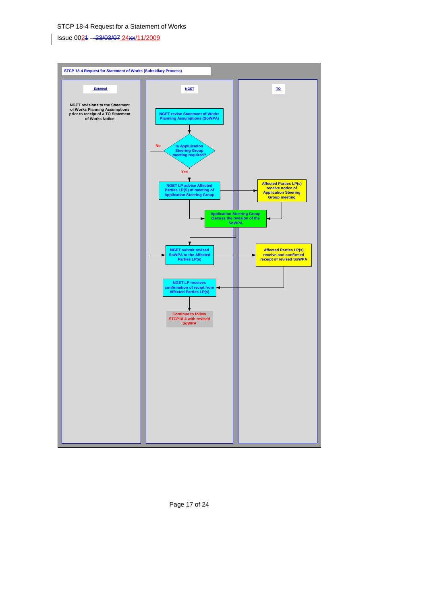Issue 0021 – 23/03/07 24xx/11/2009

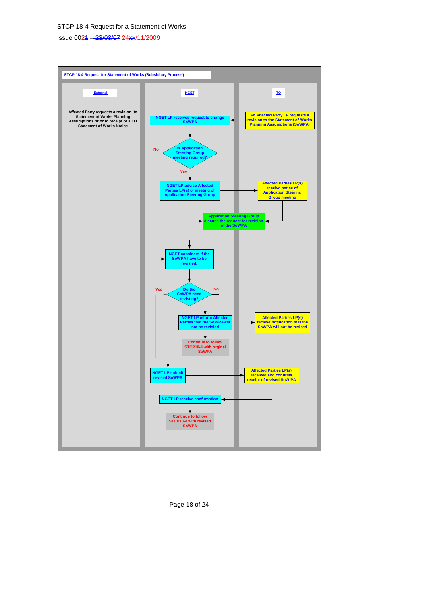Issue 0021 – 23/03/07 24xx/11/2009



Page 18 of 24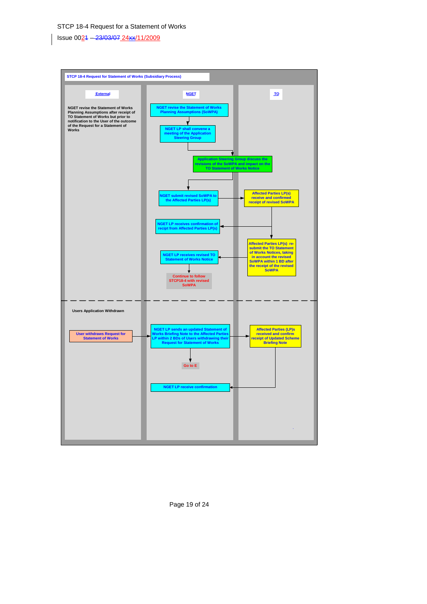Issue 0021 – 23/03/07 24xx/11/2009



Page 19 of 24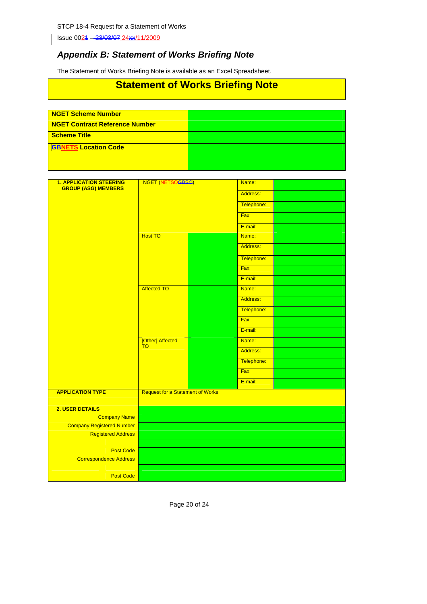Issue 0024 - 23/03/07 24xx/11/2009

## *Appendix B: Statement of Works Briefing Note*

The Statement of Works Briefing Note is available as an Excel Spreadsheet.

## **Statement of Works Briefing Note**

| <b>NGET Scheme Number</b>                      |  |
|------------------------------------------------|--|
|                                                |  |
|                                                |  |
| <b>GBNETS Location Code</b>                    |  |
| NGET Contract Reference Number<br>Scheme Title |  |

| <b>1. APPLICATION STEERING</b><br><b>GROUP (ASG) MEMBERS</b> | NGET (NETSOGBSQ)                        | Name:      |  |
|--------------------------------------------------------------|-----------------------------------------|------------|--|
|                                                              |                                         | Address:   |  |
|                                                              |                                         | Telephone: |  |
|                                                              |                                         | Fax:       |  |
|                                                              |                                         | E-mail:    |  |
|                                                              | <b>Host TO</b>                          | Name:      |  |
|                                                              |                                         | Address:   |  |
|                                                              |                                         | Telephone: |  |
|                                                              |                                         | Fax:       |  |
|                                                              |                                         | E-mail:    |  |
|                                                              | <b>Affected TO</b>                      | Name:      |  |
|                                                              |                                         | Address:   |  |
|                                                              |                                         | Telephone: |  |
|                                                              |                                         | Fax:       |  |
|                                                              |                                         | E-mail:    |  |
|                                                              | [Other] Affected<br>T <sub>O</sub>      | Name:      |  |
|                                                              |                                         | Address:   |  |
|                                                              |                                         | Telephone: |  |
|                                                              |                                         | Fax:       |  |
|                                                              |                                         | E-mail:    |  |
| <b>APPLICATION TYPE</b>                                      | <b>Request for a Statement of Works</b> |            |  |
| 2. USER DETAILS                                              |                                         |            |  |
| <b>Company Name</b>                                          |                                         |            |  |
| <b>Company Registered Number</b>                             |                                         |            |  |
| <b>Registered Address</b>                                    |                                         |            |  |
| <b>Post Code</b>                                             |                                         |            |  |
| <b>Correspondence Address</b>                                |                                         |            |  |
|                                                              |                                         |            |  |
| <b>Post Code</b>                                             |                                         |            |  |
|                                                              |                                         |            |  |

Page 20 of 24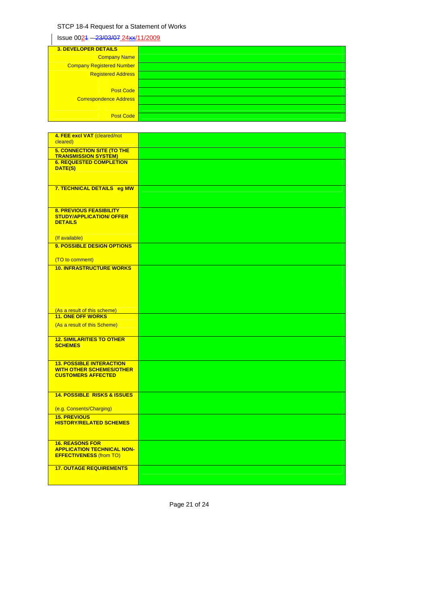$\left| \right|$  Issue 0024 – 23/03/07 24xx/11/2009

| <b>3. DEVELOPER DETAILS</b>      |  |
|----------------------------------|--|
| <b>Company Name</b>              |  |
| <b>Company Registered Number</b> |  |
| <b>Registered Address</b>        |  |
|                                  |  |
| <b>Post Code</b>                 |  |
| <b>Correspondence Address</b>    |  |
|                                  |  |
| <b>Post Code</b>                 |  |

| 4. FEE excl VAT (cleared/not                                       |  |
|--------------------------------------------------------------------|--|
| cleared)                                                           |  |
| <b>5. CONNECTION SITE (TO THE</b><br><b>TRANSMISSION SYSTEM)</b>   |  |
| <b>6. REQUESTED COMPLETION</b><br>DATE(S)                          |  |
|                                                                    |  |
| 7. TECHNICAL DETAILS eg MW                                         |  |
|                                                                    |  |
| <b>8. PREVIOUS FEASIBILITY</b><br><b>STUDY/APPLICATION/ OFFER</b>  |  |
| <b>DETAILS</b>                                                     |  |
| (If available)                                                     |  |
| <b>9. POSSIBLE DESIGN OPTIONS</b>                                  |  |
| (TO to comment)<br><b>10. INFRASTRUCTURE WORKS</b>                 |  |
|                                                                    |  |
|                                                                    |  |
|                                                                    |  |
| (As a result of this scheme)<br><b>11. ONE OFF WORKS</b>           |  |
| (As a result of this Scheme)                                       |  |
| <b>12. SIMILARITIES TO OTHER</b>                                   |  |
| <b>SCHEMES</b>                                                     |  |
|                                                                    |  |
|                                                                    |  |
| <b>13. POSSIBLE INTERACTION</b><br><b>WITH OTHER SCHEMES/OTHER</b> |  |
| <b>CUSTOMERS AFFECTED</b>                                          |  |
| <b>14. POSSIBLE RISKS &amp; ISSUES</b>                             |  |
| (e.g. Consents/Charging)                                           |  |
| <b>15. PREVIOUS</b><br><b>HISTORY/RELATED SCHEMES</b>              |  |
|                                                                    |  |
| <b>16. REASONS FOR</b><br><b>APPLICATION TECHNICAL NON-</b>        |  |
| <b>EFFECTIVENESS (from TO)</b>                                     |  |
| <b>17. OUTAGE REQUIREMENTS</b>                                     |  |

Page 21 of 24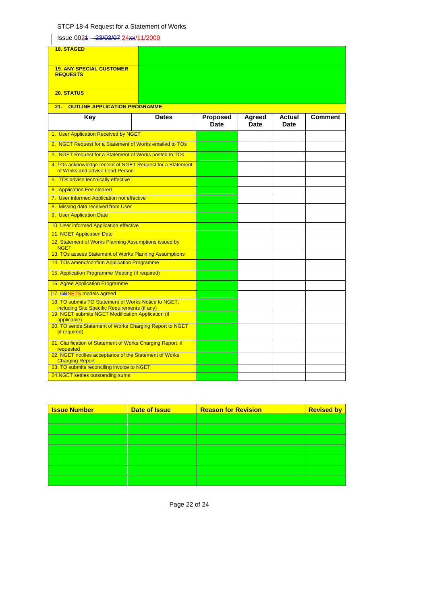| Issue 0024 - 23/03/07 24xx/11/2009                                                                    |              |          |        |               |                |
|-------------------------------------------------------------------------------------------------------|--------------|----------|--------|---------------|----------------|
| <b>18. STAGED</b>                                                                                     |              |          |        |               |                |
|                                                                                                       |              |          |        |               |                |
| <b>19. ANY SPECIAL CUSTOMER</b><br><b>REQUESTS</b>                                                    |              |          |        |               |                |
|                                                                                                       |              |          |        |               |                |
| <b>20. STATUS</b>                                                                                     |              |          |        |               |                |
| <b>OUTLINE APPLICATION PROGRAMME</b><br>21.                                                           |              |          |        |               |                |
| <b>Key</b>                                                                                            | <b>Dates</b> | Proposed | Agreed | <b>Actual</b> | <b>Comment</b> |
|                                                                                                       |              | Date     | Date   | Date          |                |
| 1. User Application Received by NGET                                                                  |              |          |        |               |                |
| 2. NGET Request for a Statement of Works emailed to TOs                                               |              |          |        |               |                |
| 3. NGET Request for a Statement of Works posted to TOs                                                |              |          |        |               |                |
| 4. TOs acknowledge receipt of NGET Request for a Statement<br>of Works and advise Lead Person         |              |          |        |               |                |
| 5. TOs advise technically effective                                                                   |              |          |        |               |                |
| 6. Application Fee cleared                                                                            |              |          |        |               |                |
| 7. User informed Application not effective                                                            |              |          |        |               |                |
| 8. Missing data received from User                                                                    |              |          |        |               |                |
| 9. User Application Date                                                                              |              |          |        |               |                |
| 10. User informed Application effective                                                               |              |          |        |               |                |
| <b>11. NGET Application Date</b>                                                                      |              |          |        |               |                |
| 12. Statement of Works Planning Assumptions issued by<br><b>NGET</b>                                  |              |          |        |               |                |
| 13. TOs assess Statement of Works Planning Assumptions                                                |              |          |        |               |                |
| 14. TOs amend/confirm Application Programme                                                           |              |          |        |               |                |
| 15. Application Programme Meeting (if required)                                                       |              |          |        |               |                |
| 16. Agree Application Programme                                                                       |              |          |        |               |                |
| 17. GBNETS models agreed                                                                              |              |          |        |               |                |
| 18. TO submits TO Statement of Works Notice to NGET,<br>including Site Specific Requirements (if any) |              |          |        |               |                |
| 19. NGET submits NGET Modification Application (if<br>applicable)                                     |              |          |        |               |                |
| 20. TO sends Statement of Works Charging Report to NGET<br>(if required)                              |              |          |        |               |                |
| 21. Clarification of Statement of Works Charging Report, if<br>requested                              |              |          |        |               |                |
| 22. NGET notifies acceptance of the Statement of Works<br><b>Charging Report</b>                      |              |          |        |               |                |
| 23. TO submits reconciling invoice to NGET                                                            |              |          |        |               |                |
| 24.NGET settles outstanding sums                                                                      |              |          |        |               |                |

| <b>Issue Number</b> | <b>Date of Issue</b> | <b>Reason for Revision</b> | <b>Revised by</b> |
|---------------------|----------------------|----------------------------|-------------------|
|                     |                      |                            |                   |
|                     |                      |                            |                   |
|                     |                      |                            |                   |
|                     |                      |                            |                   |
|                     |                      |                            |                   |
|                     |                      |                            |                   |
|                     |                      |                            |                   |

Page 22 of 24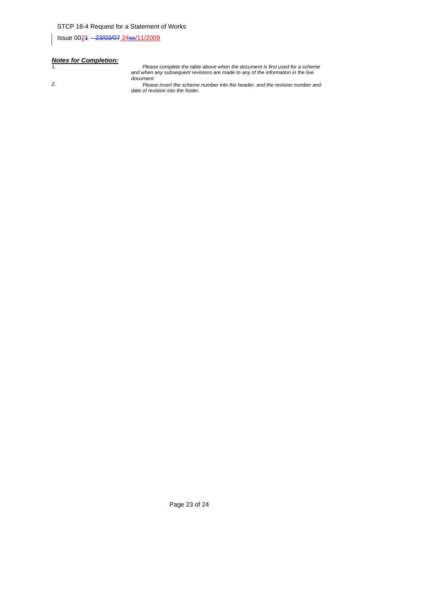Issue 0021 – 23/03/07 24xx/11/2009

# *Notes for Completion:*

*1. Please complete the table above when the document is first used for a scheme and when any subsequent revisions are made to any of the information in the live document.* 

*2. Please insert the scheme number into the header, and the revision number and date of revision into the footer.* 

Page 23 of 24